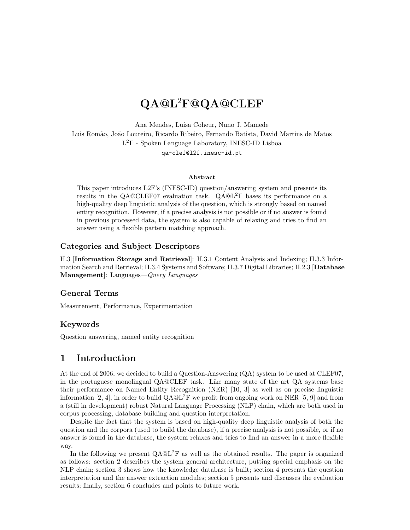# QA@L<sup>2</sup>F@QA@CLEF

Ana Mendes, Luísa Coheur, Nuno J. Mamede Luis Romão, João Loureiro, Ricardo Ribeiro, Fernando Batista, David Martins de Matos L <sup>2</sup>F - Spoken Language Laboratory, INESC-ID Lisboa qa-clef@l2f.inesc-id.pt

#### Abstract

This paper introduces L2F's (INESC-ID) question/answering system and presents its results in the QA@CLEF07 evaluation task.  $QA@L^2F$  bases its performance on a high-quality deep linguistic analysis of the question, which is strongly based on named entity recognition. However, if a precise analysis is not possible or if no answer is found in previous processed data, the system is also capable of relaxing and tries to find an answer using a flexible pattern matching approach.

### Categories and Subject Descriptors

H.3 [Information Storage and Retrieval]: H.3.1 Content Analysis and Indexing; H.3.3 Information Search and Retrieval; H.3.4 Systems and Software; H.3.7 Digital Libraries; H.2.3 [Database Management]: Languages—Query Languages

### General Terms

Measurement, Performance, Experimentation

### Keywords

Question answering, named entity recognition

# 1 Introduction

At the end of 2006, we decided to build a Question-Answering  $(QA)$  system to be used at CLEF07, in the portuguese monolingual QA@CLEF task. Like many state of the art QA systems base their performance on Named Entity Recognition (NER) [10, 3] as well as on precise linguistic information [2, 4], in order to build  $QA@L^{2}F$  we profit from ongoing work on NER [5, 9] and from a (still in development) robust Natural Language Processing (NLP) chain, which are both used in corpus processing, database building and question interpretation.

Despite the fact that the system is based on high-quality deep linguistic analysis of both the question and the corpora (used to build the database), if a precise analysis is not possible, or if no answer is found in the database, the system relaxes and tries to find an answer in a more flexible way.

In the following we present  $QA@L^{2}F$  as well as the obtained results. The paper is organized as follows: section 2 describes the system general architecture, putting special emphasis on the NLP chain; section 3 shows how the knowledge database is built; section 4 presents the question interpretation and the answer extraction modules; section 5 presents and discusses the evaluation results; finally, section 6 concludes and points to future work.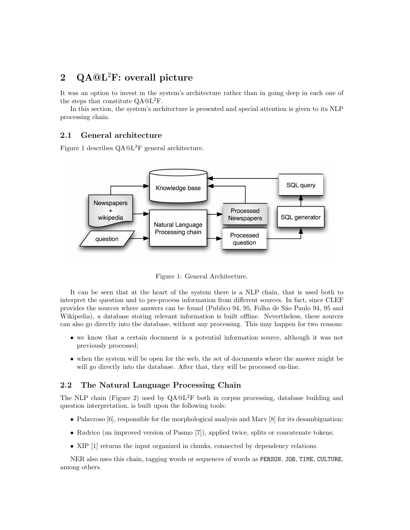# 2  $QA@L^2F$ : overall picture

It was an option to invest in the system's architecture rather than in going deep in each one of the steps that constitute QA@L2F.

In this section, the system's architecture is presented and special attention is given to its NLP processing chain.

### 2.1 General architecture

Figure 1 describes QA@L2F general architecture.



Figure 1: General Architecture.

It can be seen that at the heart of the system there is a NLP chain, that is used both to interpret the question and to pre-process information from different sources. In fact, since CLEF provides the sources where answers can be found (Publico 94, 95, Folha de S˜ao Paulo 94, 95 and Wikipedia), a database storing relevant information is built offline. Nevertheless, these sources can also go directly into the database, without any processing. This may happen for two reasons:

- we know that a certain document is a potential information source, although it was not previously processed;
- when the system will be open for the web, the set of documents where the answer might be will go directly into the database. After that, they will be processed on-line.

#### 2.2 The Natural Language Processing Chain

The NLP chain (Figure 2) used by  $QA@L^2F$  both in corpus processing, database building and question interpretation, is built upon the following tools:

- Palavroso [6], responsible for the morphological analysis and Marv [8] for its desambiguation;
- Rudrico (an improved version of Pasmo [7]), applied twice, splits or concatenate tokens;
- XIP [1] returns the input organized in chunks, connected by dependency relations.

NER also uses this chain, tagging words or sequences of words as PERSON, JOB, TIME, CULTURE, among others.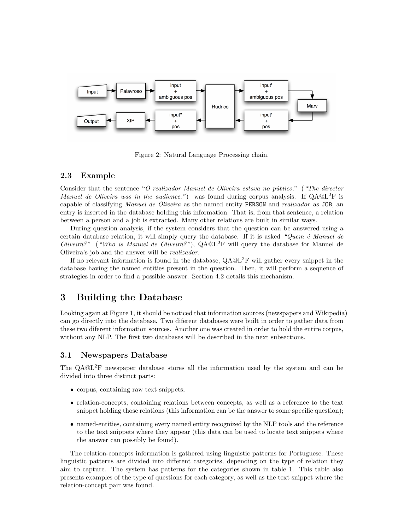

Figure 2: Natural Language Processing chain.

### 2.3 Example

Consider that the sentence "O realizador Manuel de Oliveira estava no público." ("The director *Manuel de Oliveira was in the audience.*") was found during corpus analysis. If  $QA@L^{2}F$  is capable of classifying *Manuel de Oliveira* as the named entity **PERSON** and *realizador* as JOB, an entry is inserted in the database holding this information. That is, from that sentence, a relation between a person and a job is extracted. Many other relations are built in similar ways.

During question analysis, if the system considers that the question can be answered using a certain database relation, it will simply query the database. If it is asked "Quem  $\acute{e}$  Manuel de Oliveira?" ("Who is Manuel de Oliveira?"),  $QA@L^2F$  will query the database for Manuel de Oliveira's job and the answer will be realizador.

If no relevant information is found in the database, QA@L2F will gather every snippet in the database having the named entities present in the question. Then, it will perform a sequence of strategies in order to find a possible answer. Section 4.2 details this mechanism.

# 3 Building the Database

Looking again at Figure 1, it should be noticed that information sources (newspapers and Wikipedia) can go directly into the database. Two diferent databases were built in order to gather data from these two diferent information sources. Another one was created in order to hold the entire corpus, without any NLP. The first two databases will be described in the next subsections.

#### 3.1 Newspapers Database

The QA@L<sup>2</sup>F newspaper database stores all the information used by the system and can be divided into three distinct parts:

- corpus, containing raw text snippets;
- relation-concepts, containing relations between concepts, as well as a reference to the text snippet holding those relations (this information can be the answer to some specific question);
- named-entities, containing every named entity recognized by the NLP tools and the reference to the text snippets where they appear (this data can be used to locate text snippets where the answer can possibly be found).

The relation-concepts information is gathered using linguistic patterns for Portuguese. These linguistic patterns are divided into different categories, depending on the type of relation they aim to capture. The system has patterns for the categories shown in table 1. This table also presents examples of the type of questions for each category, as well as the text snippet where the relation-concept pair was found.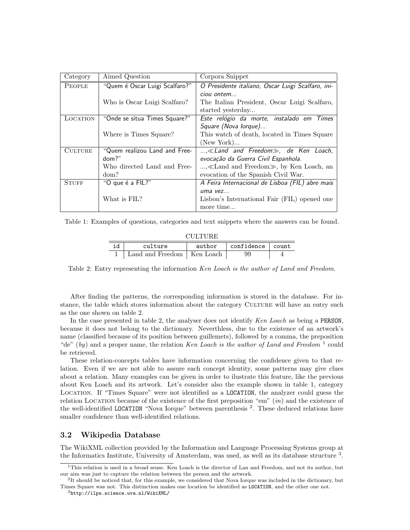| Category       | Aimed Question                 | Corpora Snippet                                   |  |  |
|----------------|--------------------------------|---------------------------------------------------|--|--|
| PEOPLE         | "Quem é Oscar Luigi Scalfaro?" | O Presidente italiano, Oscar Luigi Scalfaro, ini- |  |  |
|                |                                | ciou ontem                                        |  |  |
|                | Who is Oscar Luigi Scalfaro?   | The Italian President, Oscar Luigi Scalfaro,      |  |  |
|                |                                | started yesterday                                 |  |  |
| LOCATION       | "Onde se situa Times Square?"  | Este relógio da morte, instalado em Times         |  |  |
|                |                                | Square (Nova lorque)                              |  |  |
|                | Where is Times Square?         | This watch of death, located in Times Square      |  |  |
|                |                                | (New York)                                        |  |  |
| <b>CULTURE</b> | "Quem realizou Land and Free-  | $, \ll$ Land and Freedom $\gg$ , de Ken Loach,    |  |  |
|                | dom?                           | evocação da Guerra Civil Espanhola.               |  |  |
|                | Who directed Land and Free-    | , «Land and Freedom», by Ken Loach, an            |  |  |
|                | dom?                           | evocation of the Spanish Civil War.               |  |  |
| <b>STUFF</b>   | "O que é a FIL?"               | A Feira Internacional de Lisboa (FIL) abre mais   |  |  |
|                |                                | uma vez                                           |  |  |
|                | What is FIL?                   | Lisbon's International Fair (FIL) opened one      |  |  |
|                |                                | more time                                         |  |  |

Table 1: Examples of questions, categories and text snippets where the answers can be found.

| CHLTHRE |                              |        |                  |  |  |  |  |
|---------|------------------------------|--------|------------------|--|--|--|--|
| id      | culture                      | author | confidence count |  |  |  |  |
|         | Land and Freedom   Ken Loach |        | 99               |  |  |  |  |

Table 2: Entry representing the information Ken Loach is the author of Land and Freedom.

After finding the patterns, the corresponding information is stored in the database. For instance, the table which stores information about the category CULTURE will have an entry such as the one shown on table 2.

In the case presented in table 2, the analyser does not identify Ken Loach as being a PERSON, because it does not belong to the dictionary. Neverthless, due to the existence of an artwork's name (classified because of its position between guillemets), followed by a comma, the preposition "de" (by) and a proper name, the relation Ken Loach is the author of Land and Freedom<sup>1</sup> could be retrieved.

These relation-concepts tables have information concerning the confidence given to that relation. Even if we are not able to assure each concept identity, some patterns may give clues about a relation. Many examples can be given in order to ilustrate this feature, like the previous about Ken Loach and its artwork. Let's consider also the example shown in table 1, category Location. If "Times Square" were not identified as a LOCATION, the analyzer could guess the relation LOCATION because of the existence of the first preposition "em"  $(in)$  and the existence of the well-identified LOCATION "Nova Iorque" between parenthesis <sup>2</sup>. These deduced relations have smaller confidence than well-identified relations.

### 3.2 Wikipedia Database

The WikiXML collection provided by the Information and Language Processing Systems group at the Informatics Institute, University of Amsterdam, was used, as well as its database structure<sup>3</sup>.

<sup>1</sup>This relation is used in a broad sense. Ken Loach is the director of Lan and Freedom, and not its author, but our aim was just to capture the relation between the person and the artwork.

 ${}^{2}$ It should be noticed that, for this example, we considered that Nova Iorque was included in the dictionary, but Times Square was not. This distinction makes one location be identified as LOCATION, and the other one not. <sup>3</sup>http://ilps.science.uva.nl/WikiXML/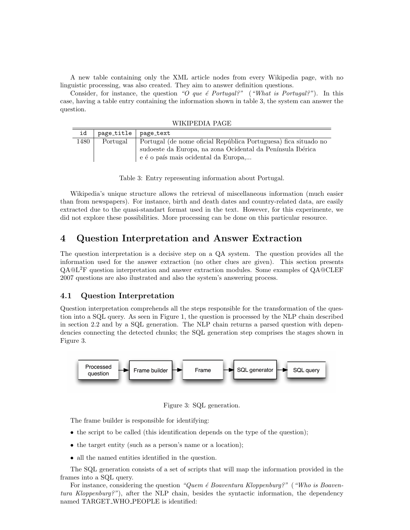A new table containing only the XML article nodes from every Wikipedia page, with no linguistic processing, was also created. They aim to answer definition questions.

Consider, for instance, the question "O que  $\acute{e}$  Portugal?" ("What is Portugal?"). In this case, having a table entry containing the information shown in table 3, the system can answer the question.

WIKIPEDIA PAGE

| id   | page_title   page_text |                                                                                                    |
|------|------------------------|----------------------------------------------------------------------------------------------------|
| 1480 | Portugal               | Portugal (de nome oficial República Portuguesa) fica situado no                                    |
|      |                        | sudoeste da Europa, na zona Ocidental da Península Ibérica<br>e é o país mais ocidental da Europa, |

Table 3: Entry representing information about Portugal.

Wikipedia's unique structure allows the retrieval of miscellaneous information (much easier than from newspapers). For instance, birth and death dates and country-related data, are easily extracted due to the quasi-standart format used in the text. However, for this experimente, we did not explore these possibilities. More processing can be done on this particular resource.

# 4 Question Interpretation and Answer Extraction

The question interpretation is a decisive step on a QA system. The question provides all the information used for the answer extraction (no other clues are given). This section presents QA@L2F question interpretation and answer extraction modules. Some examples of QA@CLEF 2007 questions are also ilustrated and also the system's answering process.

## 4.1 Question Interpretation

Question interpretation comprehends all the steps responsible for the transformation of the question into a SQL query. As seen in Figure 1, the question is processed by the NLP chain described in section 2.2 and by a SQL generation. The NLP chain returns a parsed question with dependencies connecting the detected chunks; the SQL generation step comprises the stages shown in Figure 3.



Figure 3: SQL generation.

The frame builder is responsible for identifying:

- the script to be called (this identification depends on the type of the question);
- the target entity (such as a person's name or a location);
- all the named entities identified in the question.

The SQL generation consists of a set of scripts that will map the information provided in the frames into a SQL query.

For instance, considering the question "Quem  $\acute{e}$  Boaventura Kloppenburg?" ("Who is Boaventura Kloppenburg?"), after the NLP chain, besides the syntactic information, the dependency named TARGET WHO PEOPLE is identified: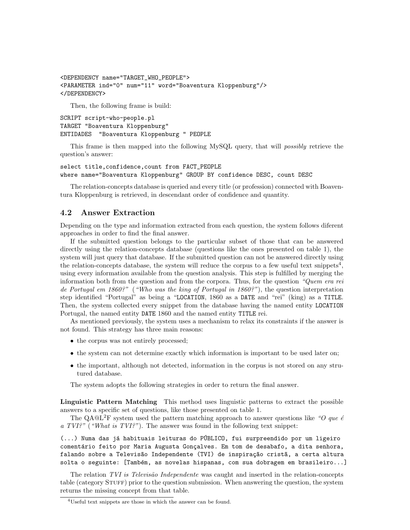```
<DEPENDENCY name="TARGET_WHO_PEOPLE">
<PARAMETER ind="0" num="11" word="Boaventura Kloppenburg"/>
</DEPENDENCY>
```
Then, the following frame is build:

```
SCRIPT script-who-people.pl
TARGET "Boaventura Kloppenburg"
ENTIDADES "Boaventura Kloppenburg " PEOPLE
```
This frame is then mapped into the following MySQL query, that will possibly retrieve the question's answer:

```
select title,confidence,count from FACT_PEOPLE
where name="Boaventura Kloppenburg" GROUP BY confidence DESC, count DESC
```
The relation-concepts database is queried and every title (or profession) connected with Boaventura Kloppenburg is retrieved, in descendant order of confidence and quantity.

### 4.2 Answer Extraction

Depending on the type and information extracted from each question, the system follows diferent approaches in order to find the final answer.

If the submitted question belongs to the particular subset of those that can be answered directly using the relation-concepts database (questions like the ones presented on table 1), the system will just query that database. If the submitted question can not be answered directly using the relation-concepts database, the system will reduce the corpus to a few useful text snippets<sup>4</sup>, using every information available from the question analysis. This step is fulfilled by merging the information both from the question and from the corpora. Thus, for the question "Quem era rei de Portugal em 1860?" ("Who was the king of Portugal in 1860?"), the question interpretation step identified "Portugal" as being a "LOCATION, 1860 as a DATE and "rei" (king) as a TITLE. Then, the system collected every snippet from the database having the named entity LOCATION Portugal, the named entity DATE 1860 and the named entity TITLE rei.

As mentioned previously, the system uses a mechanism to relax its constraints if the answer is not found. This strategy has three main reasons:

- the corpus was not entirely processed;
- the system can not determine exactly which information is important to be used later on;
- the important, although not detected, information in the corpus is not stored on any strutured database.

The system adopts the following strategies in order to return the final answer.

Linguistic Pattern Matching This method uses linguistic patterns to extract the possible answers to a specific set of questions, like those presented on table 1.

The QA@L<sup>2</sup>F system used the pattern matching approach to answer questions like "O que  $\acute{e}$ a TVI?" ("What is TVI?"). The answer was found in the following text snippet:

(...) Numa das já habituais leituras do PÚBLICO, fui surpreendido por um ligeiro comentário feito por Maria Augusta Gonçalves. Em tom de desabafo, a dita senhora, falando sobre a Televisão Independente (TVI) de inspiração cristã, a certa altura solta o seguinte: [Também, as novelas hispanas, com sua dobragem em brasileiro...]

The relation TVI is Televisão Independente was caught and inserted in the relation-concepts table (category STUFF) prior to the question submission. When answering the question, the system returns the missing concept from that table.

<sup>4</sup>Useful text snippets are those in which the answer can be found.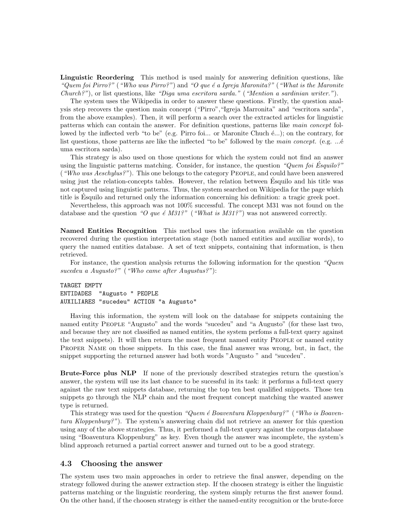Linguistic Reordering This method is used mainly for answering definition questions, like "Quem foi Pirro?" ("Who was Pirro?") and "O que é a Igreja Maronita?" ("What is the Maronite")  $Church?$ "), or list questions, like "Diga uma escritora sarda." ("Mention a sardinian writer.").

The system uses the Wikipedia in order to answer these questions. Firstly, the question analysis step recovers the question main concept ("Pirro","Igreja Marronita" and "escritora sarda", from the above examples). Then, it will perform a search over the extracted articles for linguistic patterns which can contain the answer. For definition questions, patterns like main concept followed by the inflected verb "to be" (e.g. Pirro foi... or Maronite Chuch  $\epsilon$ ...); on the contrary, for list questions, those patterns are like the inflected "to be" followed by the main concept. (e.g.  $\dots$ é uma escritora sarda).

This strategy is also used on those questions for which the system could not find an answer using the linguistic patterns matching. Consider, for instance, the question "Quem foi Esquilo?" ("Who was Aeschylus?"). This one belongs to the category People, and could have been answered using just the relation-concepts tables. However, the relation between Esquilo and his title was ´ not captured using linguistic patterns. Thus, the system searched on Wikipedia for the page which title is Esquilo and returned only the information concerning his definition: a tragic greek poet. ´

Nevertheless, this approach was not 100% successful. The concept M31 was not found on the database and the question "O que é M31?" ("What is M31?") was not answered correctly.

Named Entities Recognition This method uses the information available on the question recovered during the question interpretation stage (both named entities and auxiliar words), to query the named entities database. A set of text snippets, containing that information, is then retrieved.

For instance, the question analysis returns the following information for the question "Quem sucedeu a Augusto?" ("Who came after Augustus?"):

TARGET EMPTY ENTIDADES "Augusto " PEOPLE AUXILIARES "sucedeu" ACTION "a Augusto"

Having this information, the system will look on the database for snippets containing the named entity People "Augusto" and the words "sucedeu" and "a Augusto" (for these last two, and because they are not classified as named entities, the system perfoms a full-text query against the text snippets). It will then return the most frequent named entity People or named entity Proper Name on those snippets. In this case, the final answer was wrong, but, in fact, the snippet supporting the returned answer had both words "Augusto " and "sucedeu".

Brute-Force plus NLP If none of the previously described strategies return the question's answer, the system will use its last chance to be sucessful in its task: it performs a full-text query against the raw text snippets database, returning the top ten best qualified snippets. Those ten snippets go through the NLP chain and the most frequent concept matching the wanted answer type is returned.

This strategy was used for the question "Quem  $\acute{e}$  Boaventura Kloppenburg?" ("Who is Boaventura Kloppenburg?"). The system's answering chain did not retrieve an answer for this question using any of the above strategies. Thus, it performed a full-text query against the corpus database using "Boaventura Kloppenburg" as key. Even though the answer was incomplete, the system's blind approach returned a partial correct answer and turned out to be a good strategy.

#### 4.3 Choosing the answer

The system uses two main approaches in order to retrieve the final answer, depending on the strategy followed during the answer extraction step. If the choosen strategy is either the linguistic patterns matching or the linguistic reordering, the system simply returns the first answer found. On the other hand, if the choosen strategy is either the named-entity recognition or the brute-force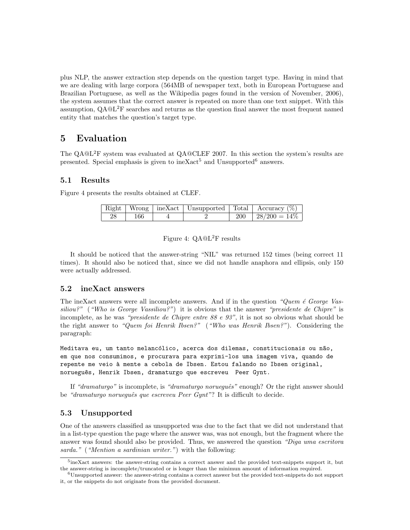plus NLP, the answer extraction step depends on the question target type. Having in mind that we are dealing with large corpora (564MB of newspaper text, both in European Portuguese and Brazilian Portuguese, as well as the Wikipedia pages found in the version of November, 2006), the system assumes that the correct answer is repeated on more than one text snippet. With this assumption,  $QA@L<sup>2</sup>F$  searches and returns as the question final answer the most frequent named entity that matches the question's target type.

# 5 Evaluation

The  $QA@L^2F$  system was evaluated at  $QA@CLEF$  2007. In this section the system's results are presented. Special emphasis is given to ineXact<sup>5</sup> and Unsupported<sup>6</sup> answers.

### 5.1 Results

Figure 4 presents the results obtained at CLEF.

|    |     |  | Right   Wrong   ineXact   Unsupported   Total   Accuracy $(\%)$ |
|----|-----|--|-----------------------------------------------------------------|
| 28 | 166 |  | $200 \mid 28/200 = 14\% \mid$                                   |

#### Figure 4: QA@L<sup>2</sup>F results

It should be noticed that the answer-string "NIL" was returned 152 times (being correct 11 times). It should also be noticed that, since we did not handle anaphora and ellipsis, only 150 were actually addressed.

### 5.2 ineXact answers

The ineXact answers were all incomplete answers. And if in the question "Quem  $\acute{e}$  George Vas $siliou$ ?" ("Who is George Vassiliou?") it is obvious that the answer "presidente de Chipre" is incomplete, as he was "presidente de Chipre entre  $88 e 93$ ", it is not so obvious what should be the right answer to "Quem foi Henrik Ibsen?" ("Who was Henrik Ibsen?"). Considering the paragraph:

Meditava eu, um tanto melancólico, acerca dos dilemas, constitucionais ou não, em que nos consumimos, e procurava para exprimi-los uma imagem viva, quando de repente me veio à mente a cebola de Ibsen. Estou falando no Ibsen original, norueguês, Henrik Ibsen, dramaturgo que escreveu Peer Gynt.

If "dramaturgo" is incomplete, is "dramaturgo norueguês" enough? Or the right answer should be "dramaturgo norueguês que escreveu Peer Gynt"? It is difficult to decide.

### 5.3 Unsupported

One of the answers classified as unsupported was due to the fact that we did not understand that in a list-type question the page where the answer was, was not enough, but the fragment where the answer was found should also be provided. Thus, we answered the question "Diga uma escritora" sarda." ("Mention a sardinian writer.") with the following:

<sup>&</sup>lt;sup>5</sup>ineXact answers: the answer-string contains a correct answer and the provided text-snippets support it, but the answer-string is incomplete/truncated or is longer than the minimun amount of information required.

<sup>6</sup>Unsupported answer: the answer-string contains a correct answer but the provided text-snippets do not support it, or the snippets do not originate from the provided document.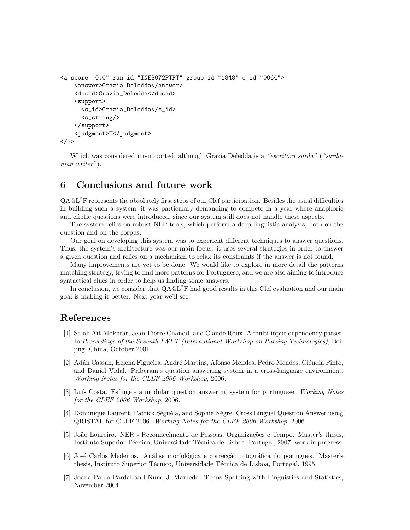```
<a score="0.0" run_id="INES072PTPT" group_id="1848" q_id="0064">
    <answer>Grazia Deledda</answer>
    <docid>Grazia_Deledda</docid>
    <support>
      <s_id>Grazia_Deledda</s_id>
      <s_string/>
    </support>
    <judgment>U</judgment>
</a>
```
Which was considered unsupported, although Grazia Deledda is a "escritora sarda" ("sardanian writer").

# 6 Conclusions and future work

QA@L2F represents the absolutely first steps of our Clef participation. Besides the usual difficulties in building such a system, it was particulary demanding to compete in a year where anaphoric and eliptic questions were introduced, since our system still does not handle these aspects.

The system relies on robust NLP tools, which perform a deep linguistic analysis, both on the question and on the corpus.

Our goal on developing this system was to experient different techniques to answer questions. Thus, the system's architecture was our main focus: it uses several strategies in order to answer a given question and relies on a mechanism to relax its constraints if the answer is not found.

Many improvements are yet to be done. We would like to explore in more detail the patterns matching strategy, trying to find more patterns for Portuguese, and we are also aiming to introduce syntactical clues in order to help us finding some answers.

In conclusion, we consider that  $QA@L^2F$  had good results in this Clef evaluation and our main goal is making it better. Next year we'll see.

# References

- [1] Salah Aït-Mokhtar, Jean-Pierre Chanod, and Claude Roux. A multi-input dependency parser. In Proceedings of the Seventh IWPT (International Workshop on Parsing Technologies), Beijing, China, October 2001.
- [2] Adán Cassan, Helena Figueira, André Martins, Afonso Mendes, Pedro Mendes, Cléudia Pinto, and Daniel Vidal. Priberam's question answering system in a cross-language environment. Working Notes for the CLEF 2006 Workshop, 2006.
- [3] Luís Costa. Esfinge a modular question answering system for portuguese. Working Notes for the CLEF 2006 Workshop, 2006.
- [4] Dominique Laurent, Patrick Séguéla, and Sophie Nègre. Cross Lingual Question Answer using QRISTAL for CLEF 2006. Working Notes for the CLEF 2006 Workshop, 2006.
- [5] João Loureiro. NER Reconhecimento de Pessoas, Organizações e Tempo. Master's thesis, Instituto Superior Técnico, Universidade Técnica de Lisboa, Portugal, 2007. work in progress.
- [6] José Carlos Medeiros. Análise morfológica e correcção ortográfica do português. Master's thesis, Instituto Superior Técnico, Universidade Técnica de Lisboa, Portugal, 1995.
- [7] Joana Paulo Pardal and Nuno J. Mamede. Terms Spotting with Linguistics and Statistics, November 2004.